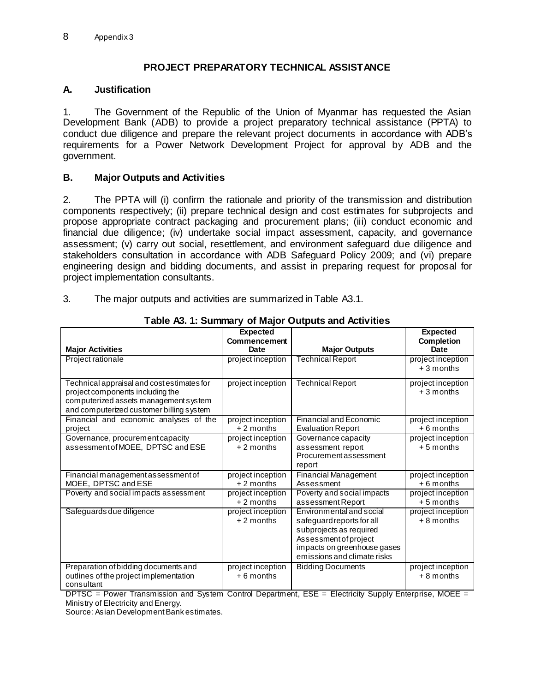## **PROJECT PREPARATORY TECHNICAL ASSISTANCE**

#### **A. Justification**

1. The Government of the Republic of the Union of Myanmar has requested the Asian Development Bank (ADB) to provide a project preparatory technical assistance (PPTA) to conduct due diligence and prepare the relevant project documents in accordance with ADB's requirements for a Power Network Development Project for approval by ADB and the government.

### **B. Major Outputs and Activities**

2. The PPTA will (i) confirm the rationale and priority of the transmission and distribution components respectively; (ii) prepare technical design and cost estimates for subprojects and propose appropriate contract packaging and procurement plans; (iii) conduct economic and financial due diligence; (iv) undertake social impact assessment, capacity, and governance assessment; (v) carry out social, resettlement, and environment safeguard due diligence and stakeholders consultation in accordance with ADB Safeguard Policy 2009; and (vi) prepare engineering design and bidding documents, and assist in preparing request for proposal for project implementation consultants.

3. The major outputs and activities are summarized in Table A3.1.

|                                            | <b>Expected</b>   |                               | <b>Expected</b>   |  |
|--------------------------------------------|-------------------|-------------------------------|-------------------|--|
|                                            | Commencement      |                               | <b>Completion</b> |  |
| <b>Major Activities</b>                    | Date              | <b>Major Outputs</b>          | Date              |  |
| Project rationale                          | project inception | <b>Technical Report</b>       | project inception |  |
|                                            |                   |                               | $+3$ months       |  |
| Technical appraisal and cost estimates for | project inception | <b>Technical Report</b>       | project inception |  |
| project components including the           |                   |                               | $+3$ months       |  |
| computerized assets management system      |                   |                               |                   |  |
| and computerized customer billing system   |                   |                               |                   |  |
| Financial and economic analyses of the     | project inception | <b>Financial and Economic</b> | project inception |  |
| project                                    | $+2$ months       | <b>Evaluation Report</b>      | $+6$ months       |  |
| Governance, procurement capacity           | project inception | Governance capacity           | project inception |  |
| assessment of MOEE, DPTSC and ESE          | $+2$ months       | assessment report             | $+5$ months       |  |
|                                            |                   | Procurement assessment        |                   |  |
|                                            |                   | report                        |                   |  |
| Financial management assessment of         | project inception | Financial Management          | project inception |  |
| MOEE, DPTSC and ESE                        | $+2$ months       | Assessment                    | $+6$ months       |  |
| Poverty and social impacts assessment      | project inception | Poverty and social impacts    | project inception |  |
|                                            | $+2$ months       | assessment Report             | $+5$ months       |  |
| Safeguards due diligence                   | project inception | Environmental and social      | project inception |  |
|                                            | $+2$ months       | safeguard reports for all     | $+8$ months       |  |
|                                            |                   | subprojects as required       |                   |  |
|                                            |                   | Assessment of project         |                   |  |
|                                            |                   | impacts on greenhouse gases   |                   |  |
|                                            |                   | emissions and climate risks   |                   |  |
| Preparation of bidding documents and       | project inception | <b>Bidding Documents</b>      | project inception |  |
| outlines of the project implementation     | $+6$ months       |                               | $+8$ months       |  |
| consultant                                 |                   |                               |                   |  |

**Table A3. 1: Summary of Major Outputs and Activities**

DPTSC = Power Transmission and System Control Department, ESE = Electricity Supply Enterprise, MOEE = Ministry of Electricity and Energy.

Source: Asian Development Bank estimates.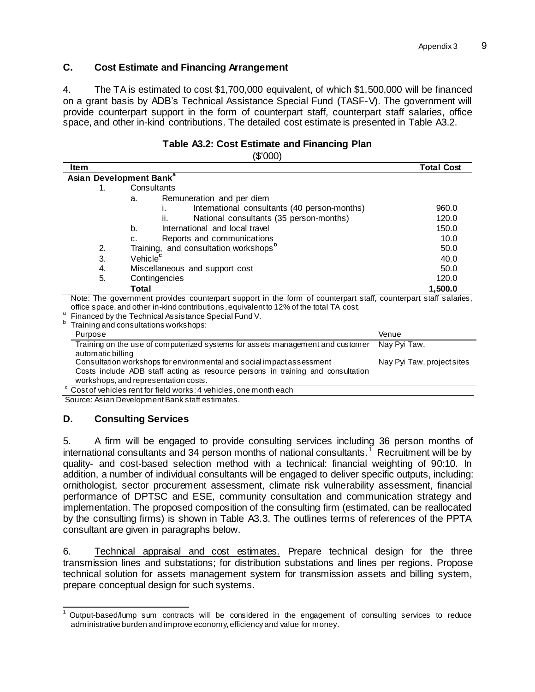### **C. Cost Estimate and Financing Arrangement**

4. The TA is estimated to cost \$1,700,000 equivalent, of which \$1,500,000 will be financed on a grant basis by ADB's Technical Assistance Special Fund (TASF-V). The government will provide counterpart support in the form of counterpart staff, counterpart staff salaries, office space, and other in-kind contributions. The detailed cost estimate is presented in Table A3.2.

### **Table A3.2: Cost Estimate and Financing Plan**

(\$'000)

| ltem    |                                                                                                                                                                                                           | <b>Total Cost</b>                |  |  |
|---------|-----------------------------------------------------------------------------------------------------------------------------------------------------------------------------------------------------------|----------------------------------|--|--|
|         | Asian Development Bank <sup>a</sup>                                                                                                                                                                       |                                  |  |  |
| 1.      | Consultants                                                                                                                                                                                               |                                  |  |  |
|         | Remuneration and per diem<br>a.                                                                                                                                                                           |                                  |  |  |
|         | International consultants (40 person-months)                                                                                                                                                              | 960.0                            |  |  |
|         | National consultants (35 person-months)<br>ii.                                                                                                                                                            | 120.0                            |  |  |
|         | International and local travel<br>b.                                                                                                                                                                      | 150.0                            |  |  |
|         | Reports and communications<br>C.                                                                                                                                                                          | 10.0                             |  |  |
| 2.      | Training, and consultation workshops <sup>b</sup><br>50.0                                                                                                                                                 |                                  |  |  |
| 3.      | Vehicle <sup>c</sup>                                                                                                                                                                                      | 40.0                             |  |  |
| 4.      | Miscellaneous and support cost                                                                                                                                                                            | 50.0                             |  |  |
| 5.      | Contingencies                                                                                                                                                                                             | 120.0                            |  |  |
|         | Total                                                                                                                                                                                                     | 1,500.0                          |  |  |
|         | Note: The government provides counterpart support in the form of counterpart staff, counterpart staff salaries,<br>office space, and other in-kind contributions, equivalent to 12% of the total TA cost. |                                  |  |  |
|         | Financed by the Technical Assistance Special Fund V.                                                                                                                                                      |                                  |  |  |
| b       | Training and consultations workshops:                                                                                                                                                                     |                                  |  |  |
| Purpose | The fields of a substitute of a consequent of a continuous from a set of a<br>to set the set of the set of the set of                                                                                     | Venue<br>$M = 1.5$ MeV $T = 1.1$ |  |  |

| Training on the use of computerized systems for assets management and customer  | Nay Pyi Taw,               |
|---------------------------------------------------------------------------------|----------------------------|
| automatic billing                                                               |                            |
| Consultation workshops for environmental and social impact assessment           | Nay Pyi Taw, project sites |
| Costs include ADB staff acting as resource persons in training and consultation |                            |
| workshops, and representation costs.                                            |                            |
| $\mathrm{c}\,$ Costof vehicles rent for field works: 4 vehicles, one month each |                            |

Source: Asian Development Bank staff estimates.

#### **D. Consulting Services**

5. A firm will be engaged to provide consulting services including 36 person months of international consultants and 34 person months of national consultants.<sup>1</sup> Recruitment will be by quality- and cost-based selection method with a technical: financial weighting of 90:10. In addition, a number of individual consultants will be engaged to deliver specific outputs, including: ornithologist, sector procurement assessment, climate risk vulnerability assessment, financial performance of DPTSC and ESE, community consultation and communication strategy and implementation. The proposed composition of the consulting firm (estimated, can be reallocated by the consulting firms) is shown in Table A3.3. The outlines terms of references of the PPTA consultant are given in paragraphs below.

6. Technical appraisal and cost estimates. Prepare technical design for the three transmission lines and substations; for distribution substations and lines per regions. Propose technical solution for assets management system for transmission assets and billing system, prepare conceptual design for such systems.

 $\overline{a}$  $1$  Output-based/lump sum contracts will be considered in the engagement of consulting services to reduce administrative burden and improve economy, efficiency and value for money.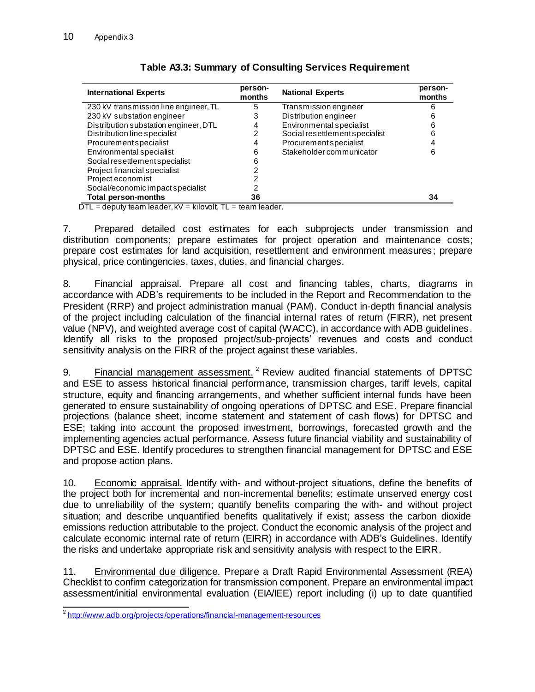| <b>International Experts</b>                                         | person-<br>months | <b>National Experts</b>        | person-<br>months |
|----------------------------------------------------------------------|-------------------|--------------------------------|-------------------|
| 230 kV transmission line engineer, TL                                | 5                 | Transmission engineer          |                   |
| 230 kV substation engineer                                           | 3                 | Distribution engineer          |                   |
| Distribution substation engineer, DTL                                | 4                 | Environmental specialist       | 6                 |
| Distribution line specialist                                         | 2                 | Social resettlement specialist | 6                 |
| Procurement specialist                                               | 4                 | Procurement specialist         |                   |
| Environmental specialist                                             | 6                 | Stakeholder communicator       | 6                 |
| Social resettlement specialist                                       | 6                 |                                |                   |
| Project financial specialist                                         |                   |                                |                   |
| Project economist                                                    |                   |                                |                   |
| Social/economic impact specialist                                    |                   |                                |                   |
| <b>Total person-months</b><br>--<br>$\cdots$<br>$\cdots$<br>$\cdots$ | 36                |                                | 34                |

# **Table A3.3: Summary of Consulting Services Requirement**

 $DTL =$  deputy team leader,  $kV =$  kilovolt,  $TL =$  team leader.

7. Prepared detailed cost estimates for each subprojects under transmission and distribution components; prepare estimates for project operation and maintenance costs; prepare cost estimates for land acquisition, resettlement and environment measures; prepare physical, price contingencies, taxes, duties, and financial charges.

8. Financial appraisal. Prepare all cost and financing tables, charts, diagrams in accordance with ADB's requirements to be included in the Report and Recommendation to the President (RRP) and project administration manual (PAM). Conduct in-depth financial analysis of the project including calculation of the financial internal rates of return (FIRR), net present value (NPV), and weighted average cost of capital (WACC), in accordance with ADB guidelines. Identify all risks to the proposed project/sub-projects' revenues and costs and conduct sensitivity analysis on the FIRR of the project against these variables.

9. Financial management assessment.<sup>2</sup> Review audited financial statements of DPTSC and ESE to assess historical financial performance, transmission charges, tariff levels, capital structure, equity and financing arrangements, and whether sufficient internal funds have been generated to ensure sustainability of ongoing operations of DPTSC and ESE. Prepare financial projections (balance sheet, income statement and statement of cash flows) for DPTSC and ESE; taking into account the proposed investment, borrowings, forecasted growth and the implementing agencies actual performance. Assess future financial viability and sustainability of DPTSC and ESE. Identify procedures to strengthen financial management for DPTSC and ESE and propose action plans.

10. Economic appraisal. Identify with- and without-project situations, define the benefits of the project both for incremental and non-incremental benefits; estimate unserved energy cost due to unreliability of the system; quantify benefits comparing the with- and without project situation; and describe unquantified benefits qualitatively if exist; assess the carbon dioxide emissions reduction attributable to the project. Conduct the economic analysis of the project and calculate economic internal rate of return (EIRR) in accordance with ADB's Guidelines. Identify the risks and undertake appropriate risk and sensitivity analysis with respect to the EIRR.

11. Environmental due diligence. Prepare a Draft Rapid Environmental Assessment (REA) Checklist to confirm categorization for transmission component. Prepare an environmental impact assessment/initial environmental evaluation (EIA/IEE) report including (i) up to date quantified

 2 <http://www.adb.org/projects/operations/financial-management-resources>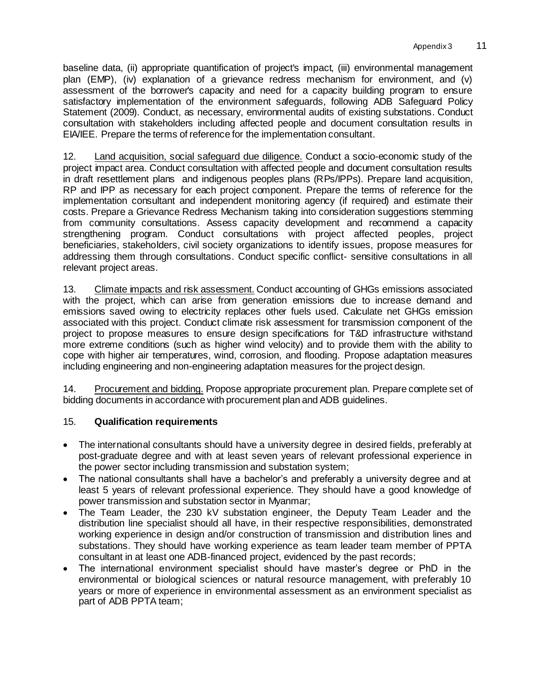baseline data, (ii) appropriate quantification of project's impact, (iii) environmental management plan (EMP), (iv) explanation of a grievance redress mechanism for environment, and (v) assessment of the borrower's capacity and need for a capacity building program to ensure satisfactory implementation of the environment safeguards, following ADB Safeguard Policy Statement (2009). Conduct, as necessary, environmental audits of existing substations. Conduct consultation with stakeholders including affected people and document consultation results in EIA/IEE. Prepare the terms of reference for the implementation consultant.

12. Land acquisition, social safeguard due diligence. Conduct a socio-economic study of the project impact area. Conduct consultation with affected people and document consultation results in draft resettlement plans and indigenous peoples plans (RPs/IPPs). Prepare land acquisition, RP and IPP as necessary for each project component. Prepare the terms of reference for the implementation consultant and independent monitoring agency (if required) and estimate their costs. Prepare a Grievance Redress Mechanism taking into consideration suggestions stemming from community consultations. Assess capacity development and recommend a capacity strengthening program. Conduct consultations with project affected peoples, project beneficiaries, stakeholders, civil society organizations to identify issues, propose measures for addressing them through consultations. Conduct specific conflict- sensitive consultations in all relevant project areas.

13. Climate impacts and risk assessment. Conduct accounting of GHGs emissions associated with the project, which can arise from generation emissions due to increase demand and emissions saved owing to electricity replaces other fuels used. Calculate net GHGs emission associated with this project. Conduct climate risk assessment for transmission component of the project to propose measures to ensure design specifications for T&D infrastructure withstand more extreme conditions (such as higher wind velocity) and to provide them with the ability to cope with higher air temperatures, wind, corrosion, and flooding. Propose adaptation measures including engineering and non-engineering adaptation measures for the project design.

14. Procurement and bidding. Propose appropriate procurement plan. Prepare complete set of bidding documents in accordance with procurement plan and ADB guidelines.

## 15. **Qualification requirements**

- The international consultants should have a university degree in desired fields, preferably at post-graduate degree and with at least seven years of relevant professional experience in the power sector including transmission and substation system;
- The national consultants shall have a bachelor's and preferably a university degree and at least 5 years of relevant professional experience. They should have a good knowledge of power transmission and substation sector in Myanmar;
- The Team Leader, the 230 kV substation engineer, the Deputy Team Leader and the distribution line specialist should all have, in their respective responsibilities, demonstrated working experience in design and/or construction of transmission and distribution lines and substations. They should have working experience as team leader team member of PPTA consultant in at least one ADB-financed project, evidenced by the past records;
- The international environment specialist should have master's degree or PhD in the environmental or biological sciences or natural resource management, with preferably 10 years or more of experience in environmental assessment as an environment specialist as part of ADB PPTA team;